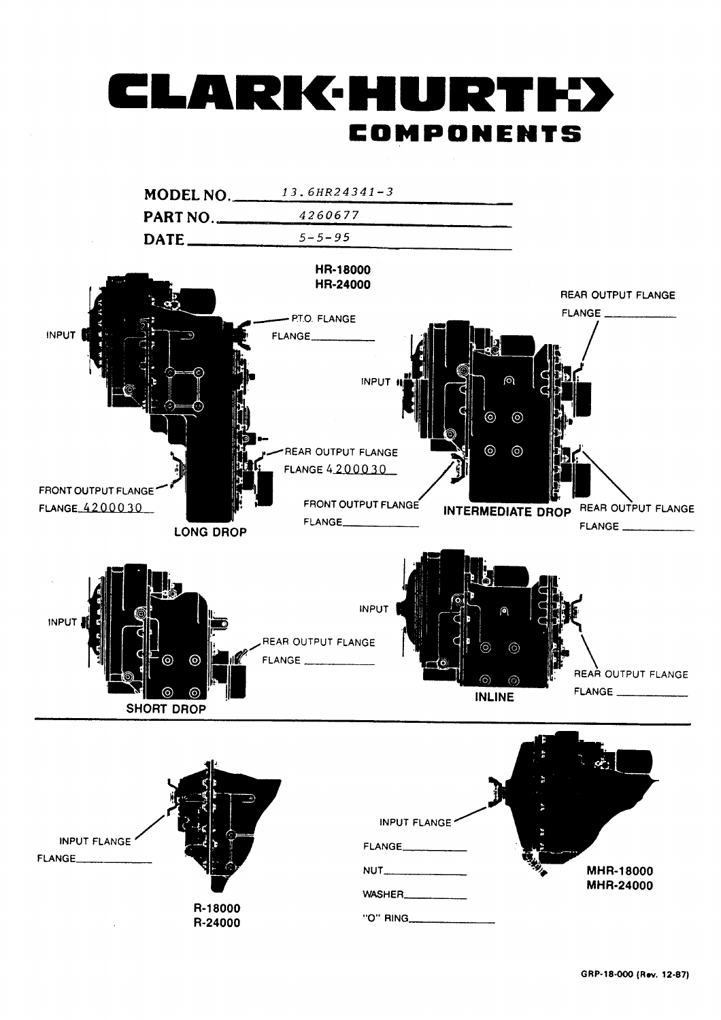# LARK HURT COMPONENTS

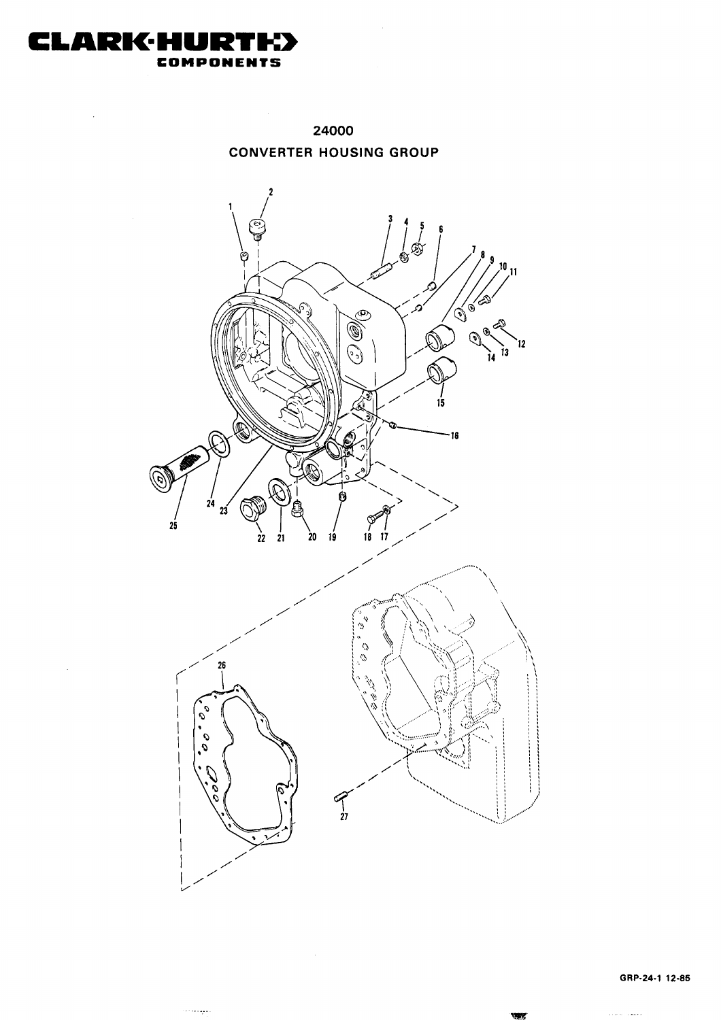

لتوليدت

 $\ddot{\phantom{0}}$ 

24000 **CONVERTER HOUSING GROUP** 



ولمعدات وبالا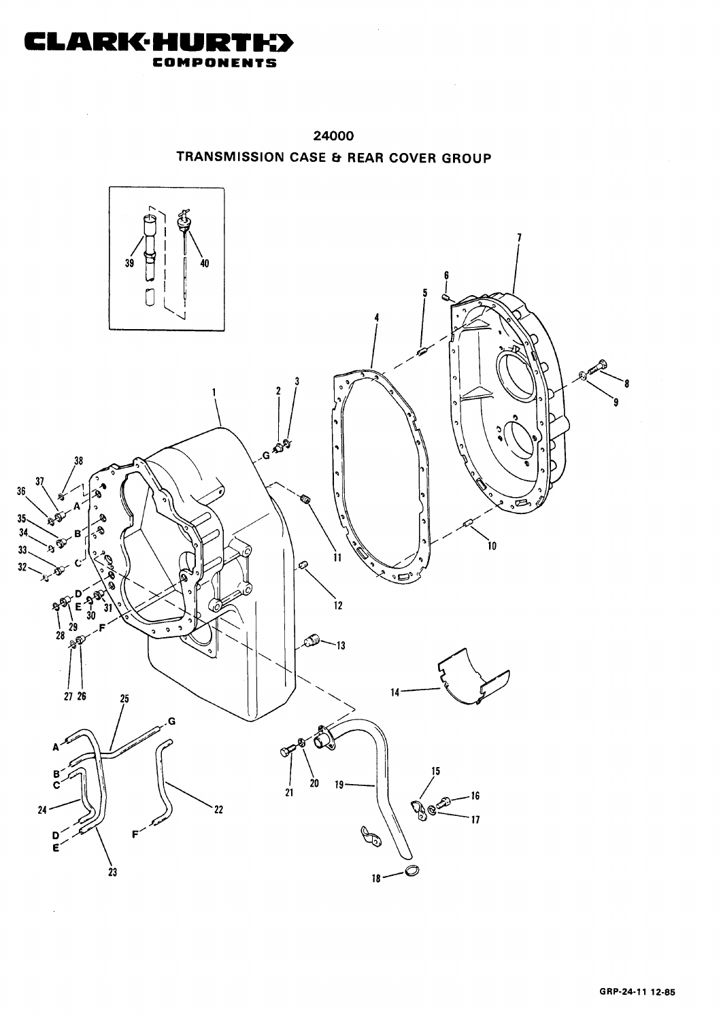

 $\ddot{\phantom{a}}$ 

 $\overline{\phantom{a}}$ 



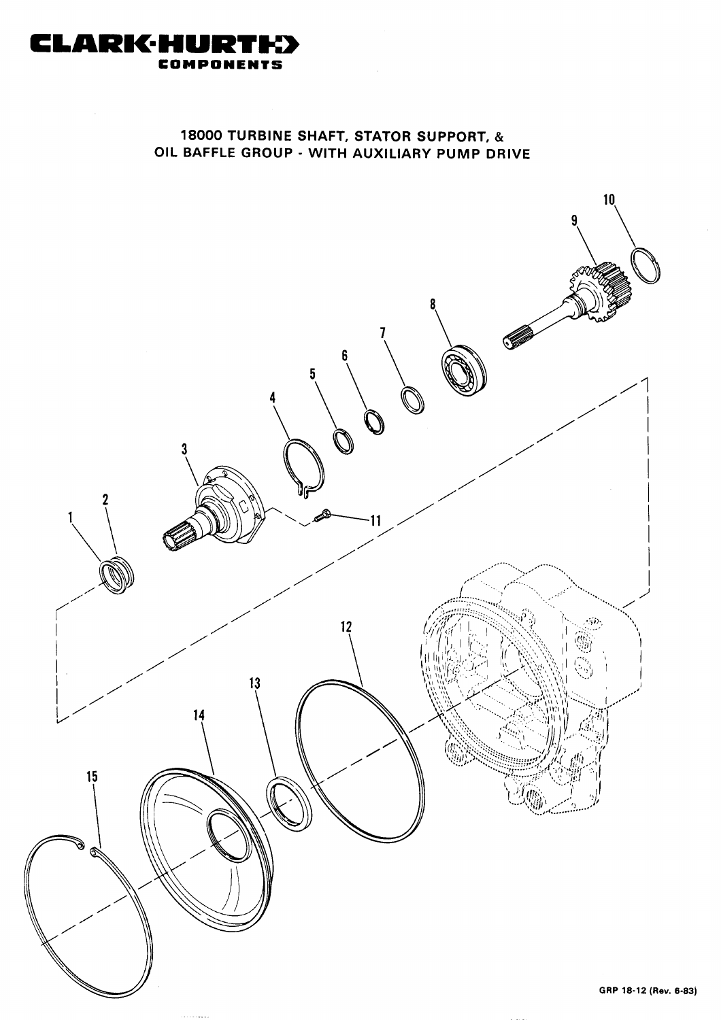

## 18000 TURBINE SHAFT, STATOR SUPPORT, & OIL BAFFLE GROUP - WITH AUXILIARY PUMP DRIVE

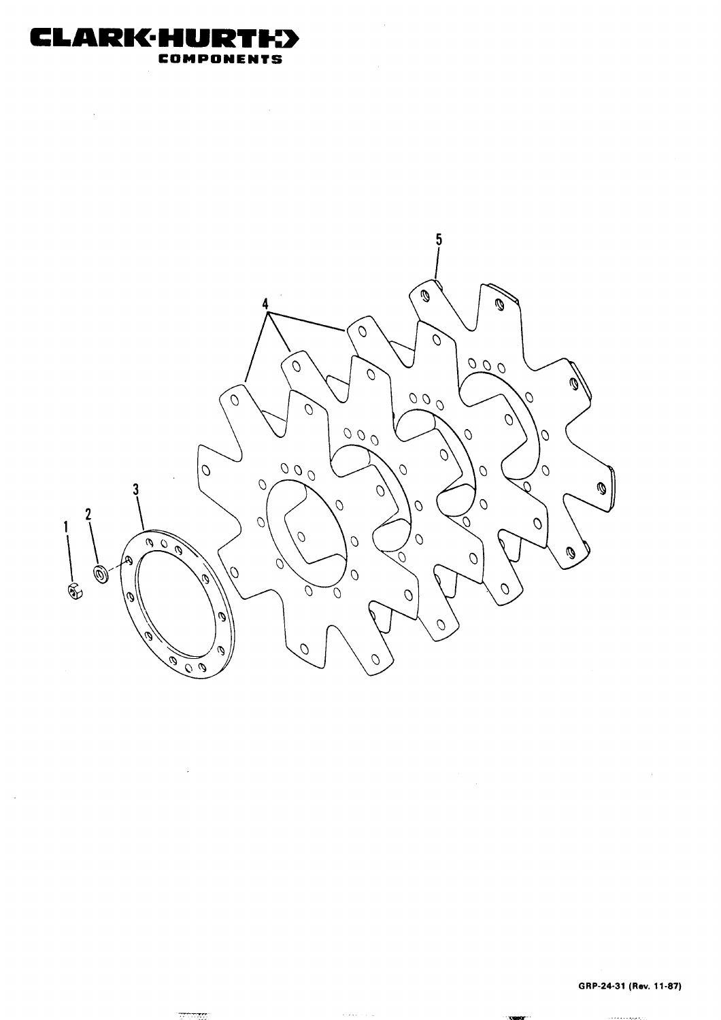

 $\sim$ 

<u>प्राप्तवत</u>

 $\sim$ 

 $\ddot{\phantom{0}}$ 



 $\sim$  1000  $\sim$ 

 $\hat{\mathcal{L}}$ 

 $\bar{z}$ 

GRP-24-31 (Rev. 11-87)

أوالمتعلم وأوجب والأستان والمتار

 $\mathcal{A}^{\mathcal{A}}$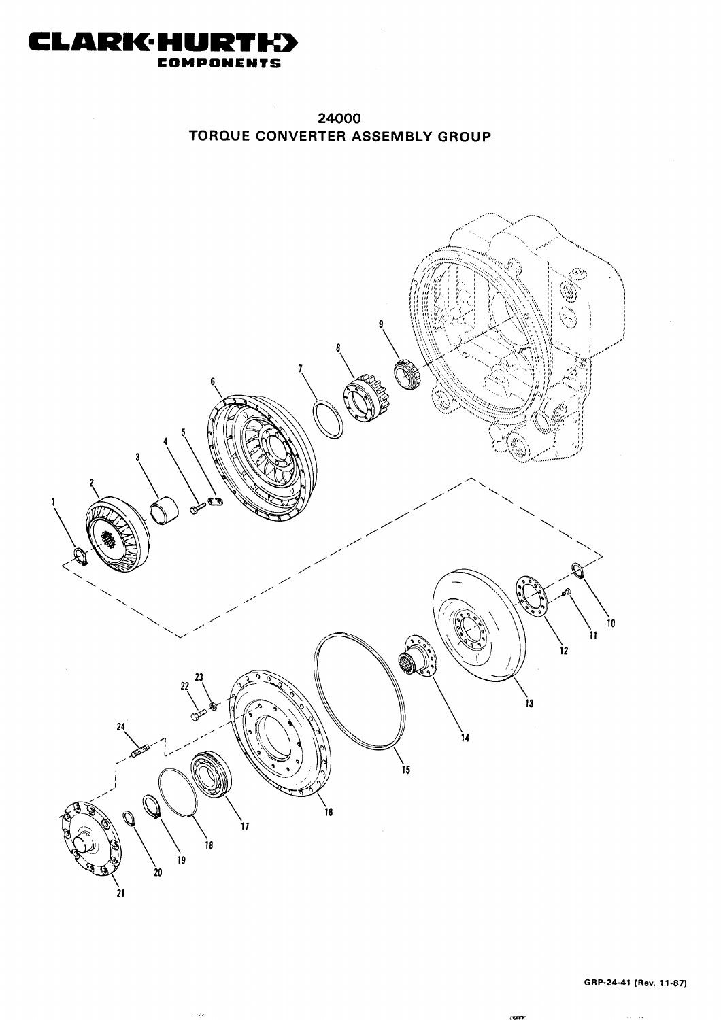

24000 TORQUE CONVERTER ASSEMBLY GROUP



 $\mathcal{L}_{\mathcal{C}}$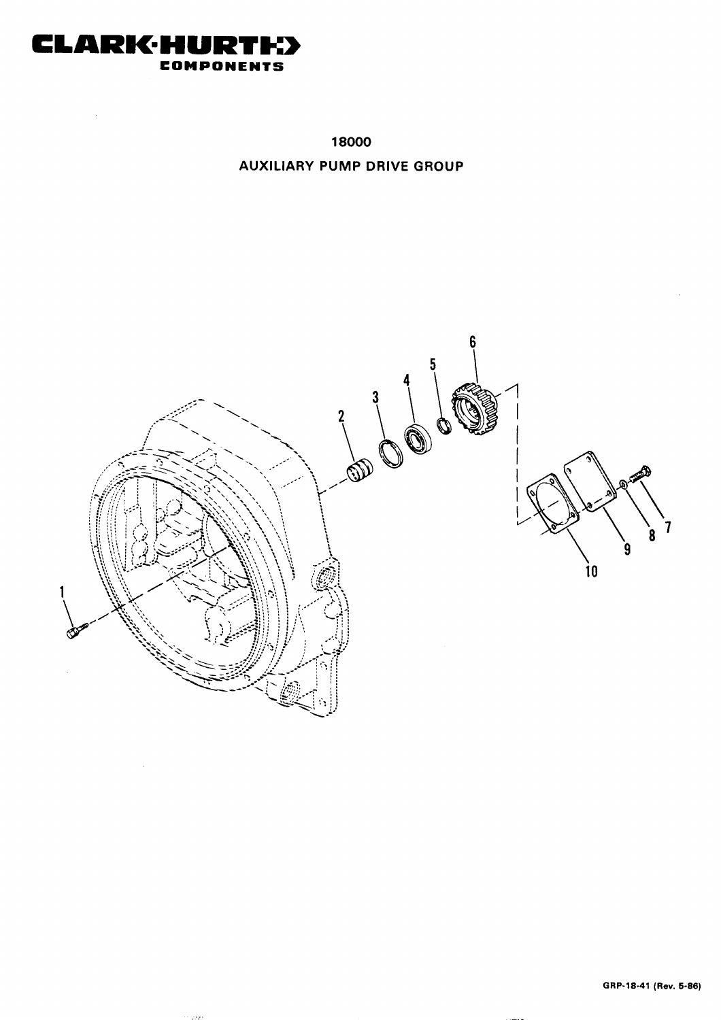

in 2223

 $\bar{z}$ 

18000 **AUXILIARY PUMP DRIVE GROUP** 

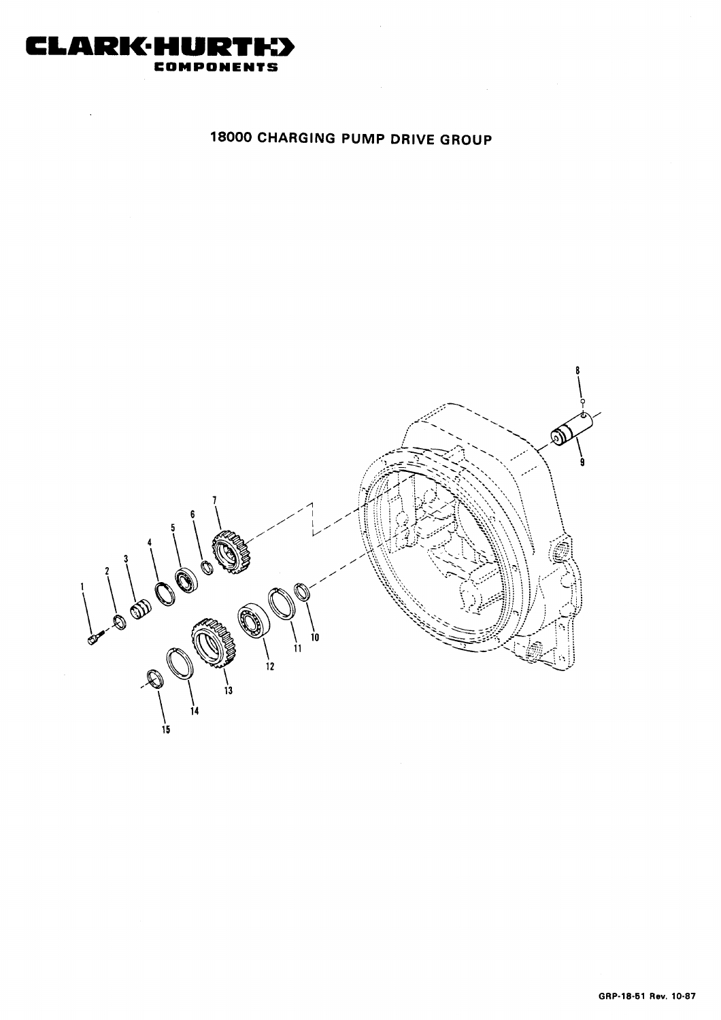

# 18000 CHARGING PUMP DRIVE GROUP

 $\label{eq:2.1} \mathcal{L}(\mathcal{L}) = \mathcal{L}(\mathcal{L}) \mathcal{L}(\mathcal{L}) = \mathcal{L}(\mathcal{L}) \mathcal{L}(\mathcal{L})$ 

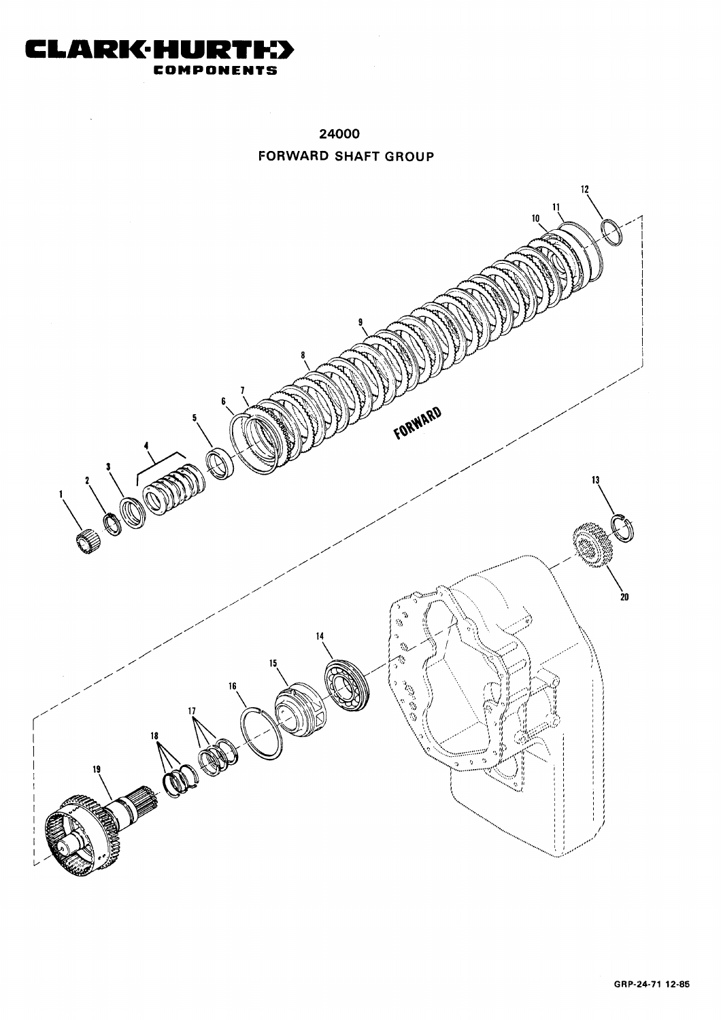

24000 **FORWARD SHAFT GROUP** 

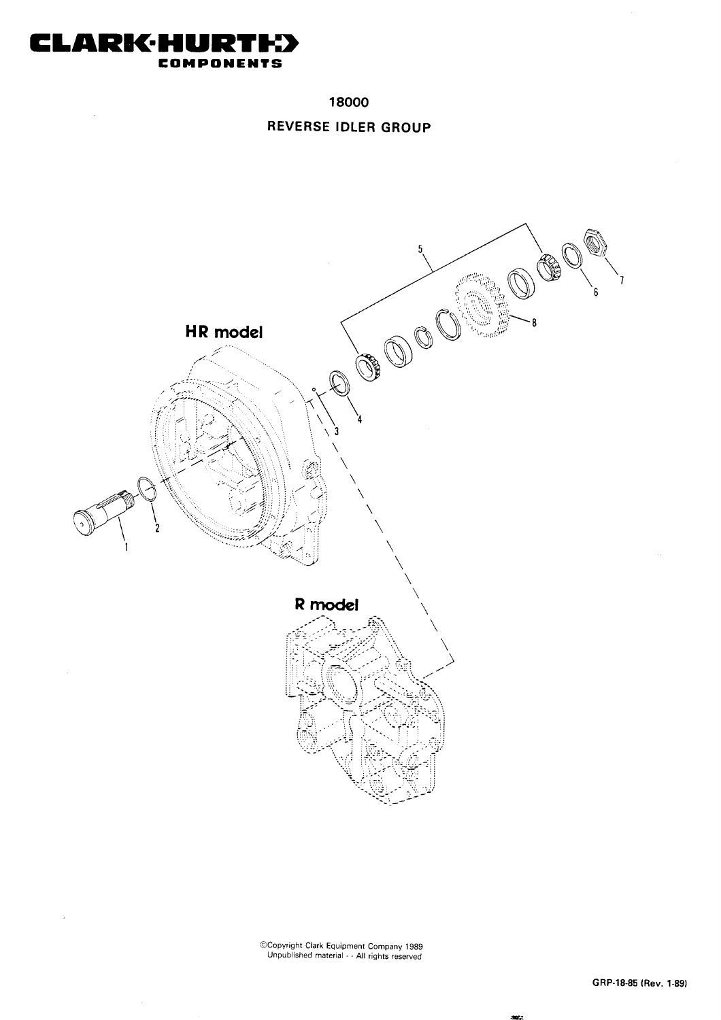

 $\bar{z}$ 

 $\lambda$ 

18000

#### REVERSE IDLER GROUP



Copyright Clark Equipment Company 1989<br>Unpublished material - - All rights reserved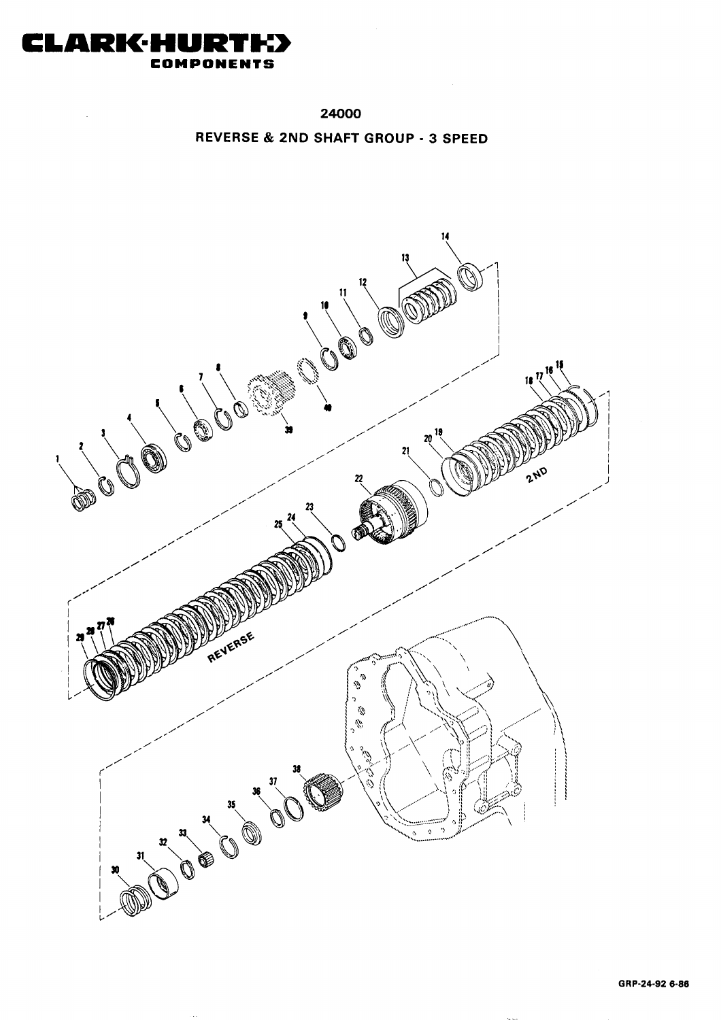

 $\bar{z}$ 

24000

REVERSE & 2ND SHAFT GROUP - 3 SPEED

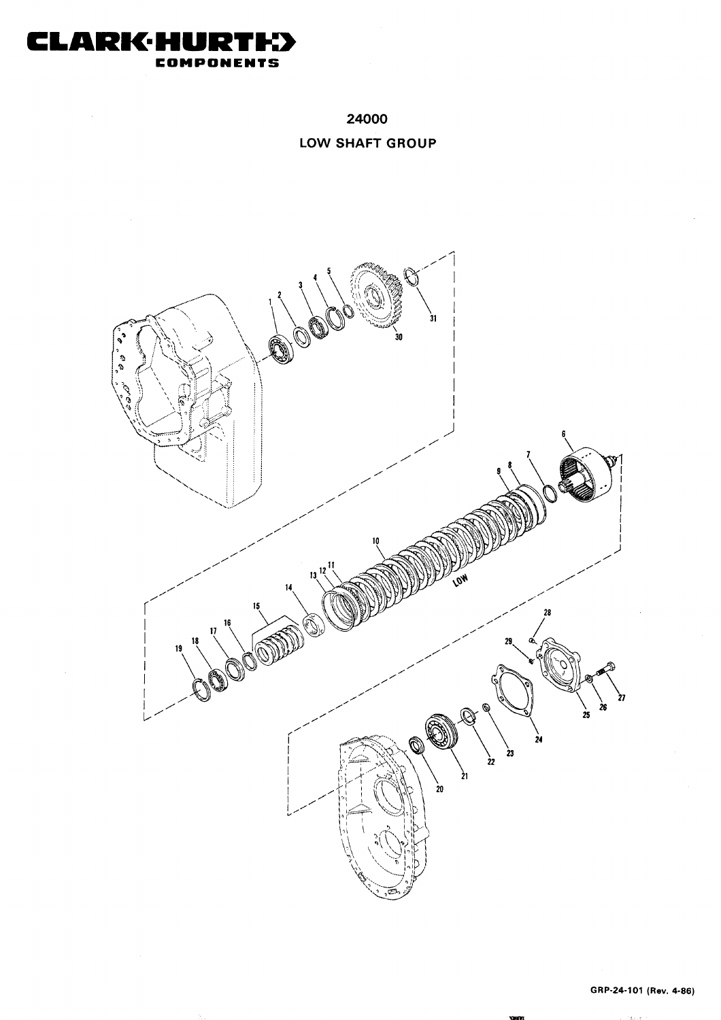

# 24000 LOW SHAFT GROUP



ras se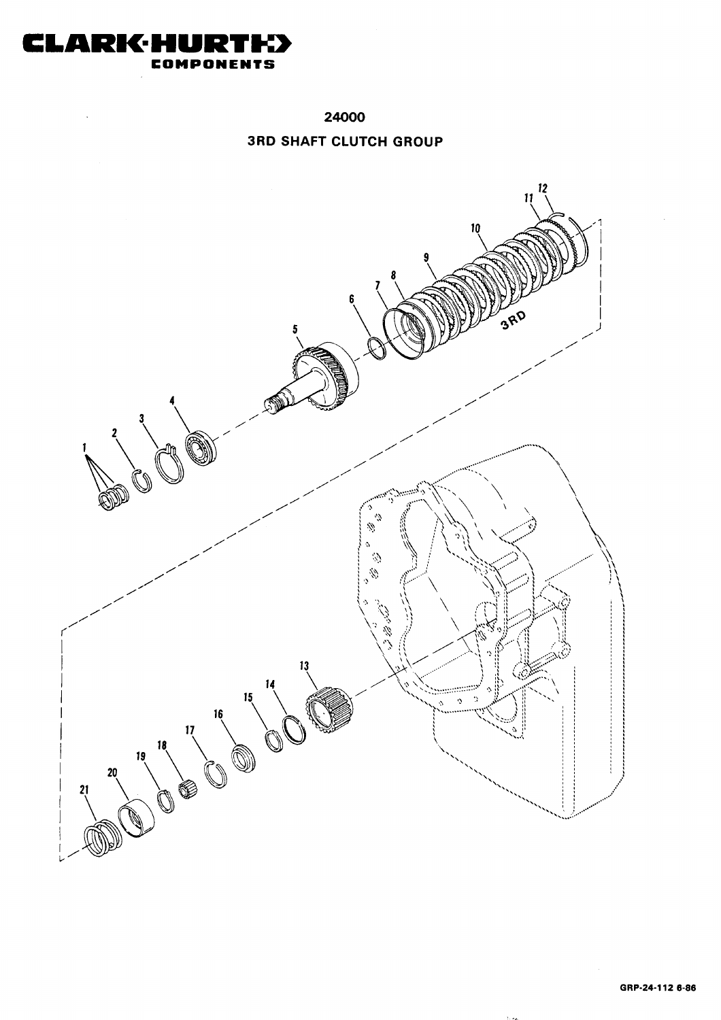

24000

### **3RD SHAFT CLUTCH GROUP**

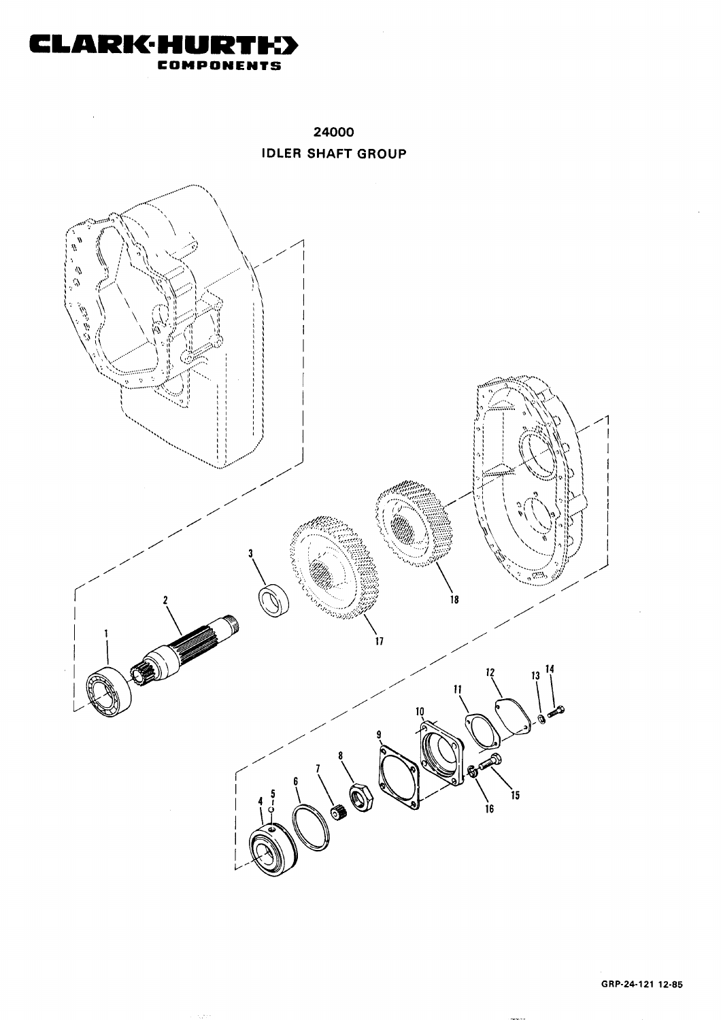

24000 **IDLER SHAFT GROUP** 



ςý.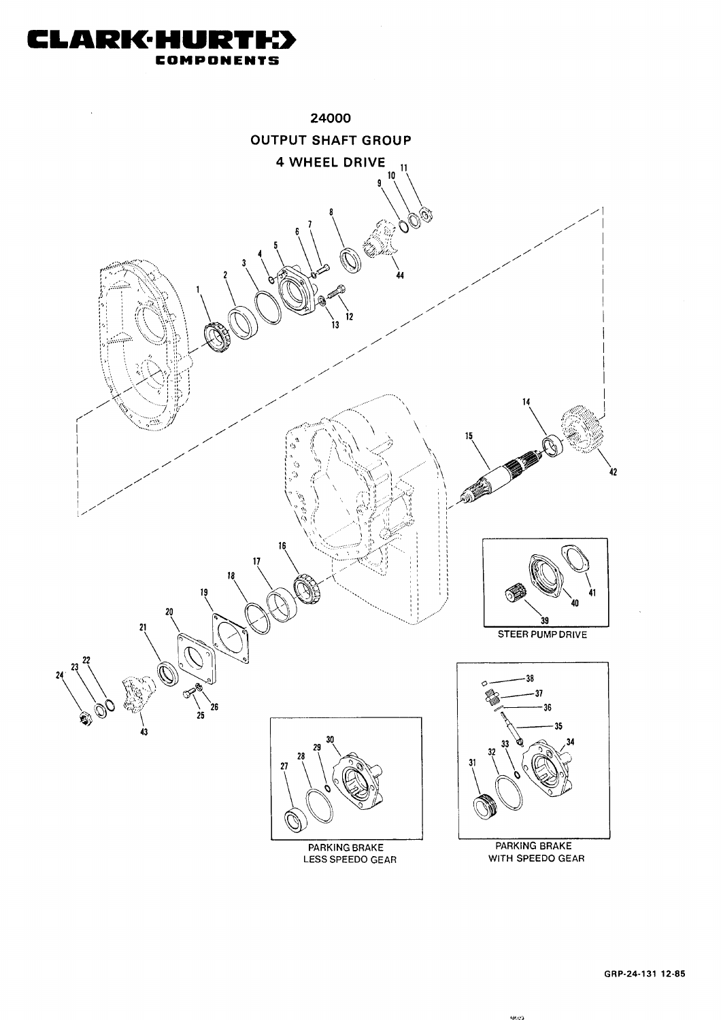

GRP-24-131 12-85

48,691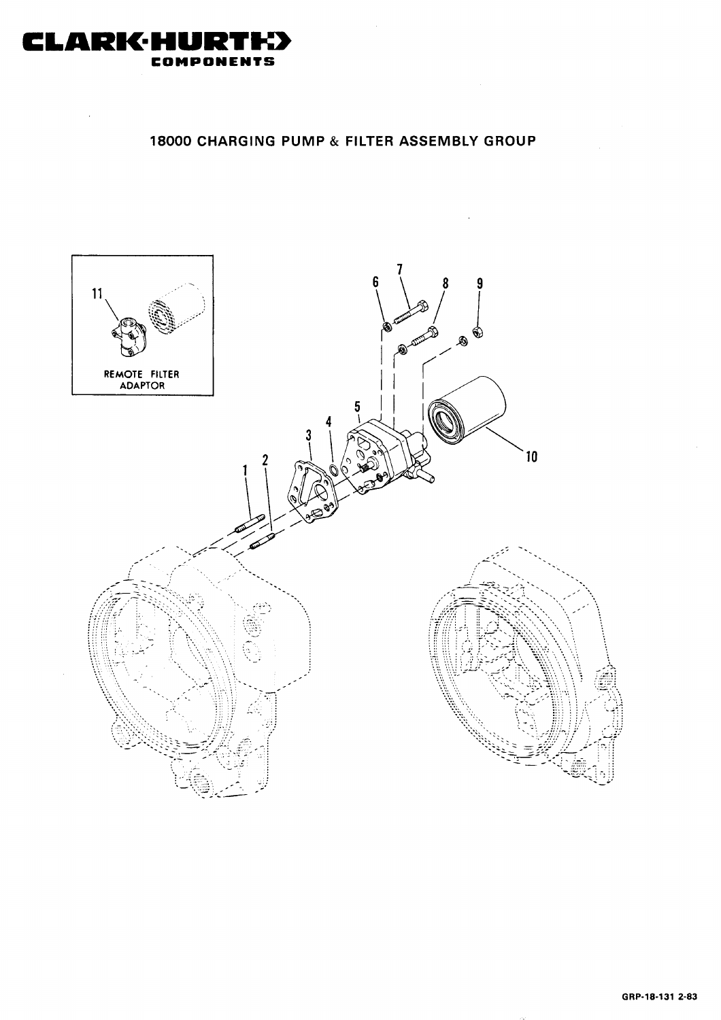

# 18000 CHARGING PUMP & FILTER ASSEMBLY GROUP

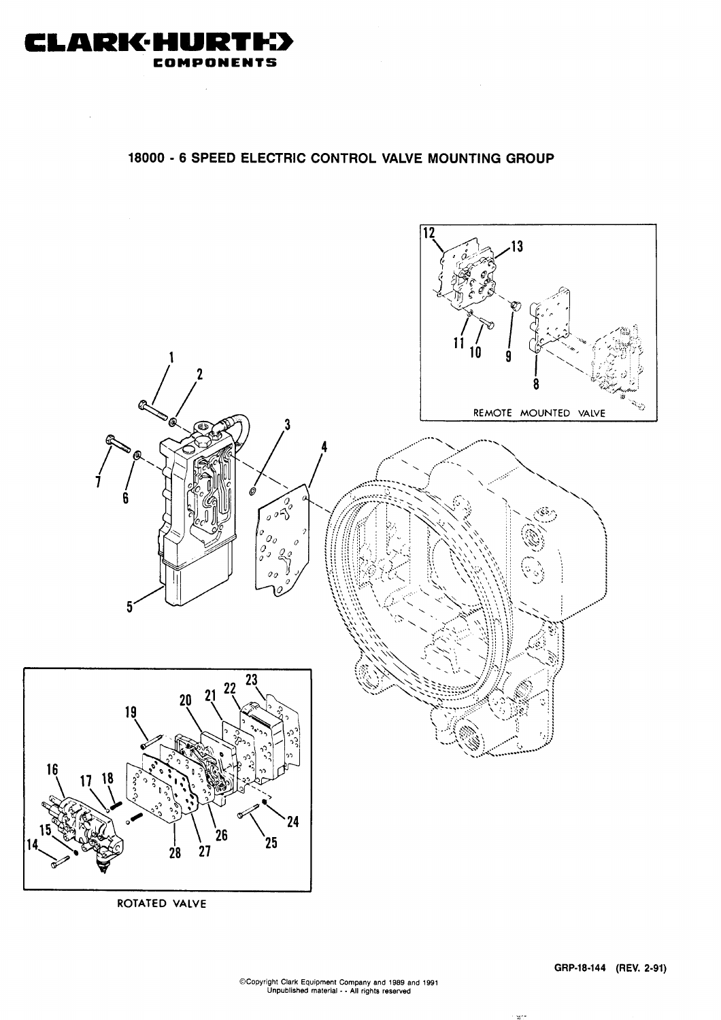

#### 18000 - 6 SPEED ELECTRIC CONTROL VALVE MOUNTING GROUP



.<br>Marie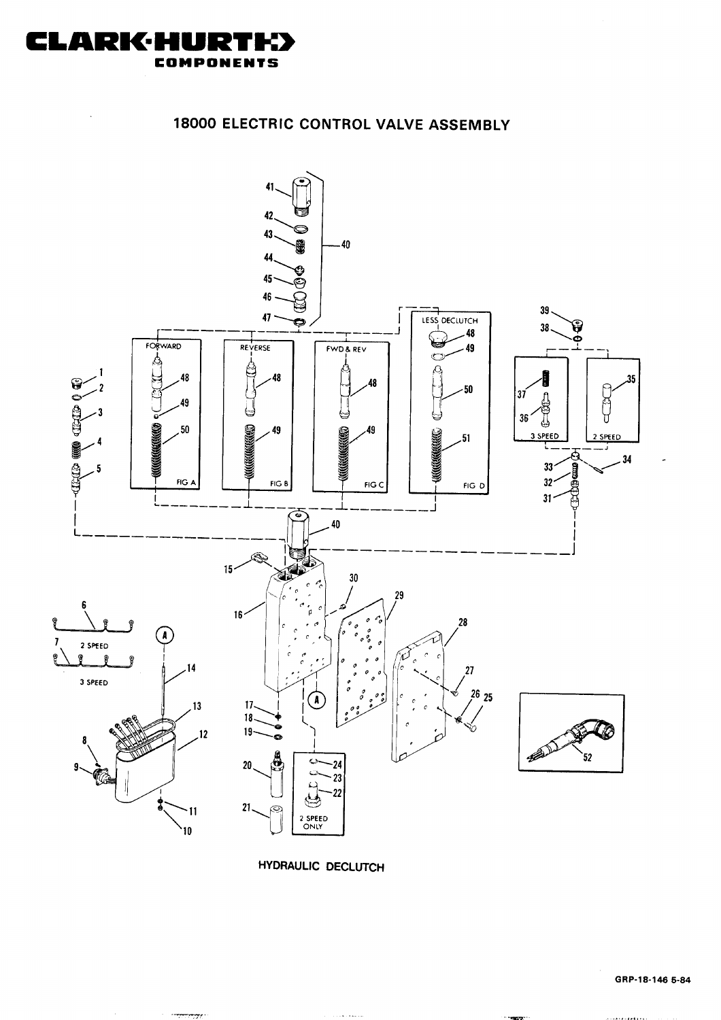**HYDRAULIC DECLUTCH** 

. . . . . . . . . .

 $\frac{1}{2} \frac{1}{2} \frac{1}{2} \frac{1}{2} \frac{1}{2} \frac{1}{2} \frac{1}{2} \frac{1}{2} \frac{1}{2} \frac{1}{2} \frac{1}{2} \frac{1}{2} \frac{1}{2} \frac{1}{2} \frac{1}{2} \frac{1}{2} \frac{1}{2} \frac{1}{2} \frac{1}{2} \frac{1}{2} \frac{1}{2} \frac{1}{2} \frac{1}{2} \frac{1}{2} \frac{1}{2} \frac{1}{2} \frac{1}{2} \frac{1}{2} \frac{1}{2} \frac{1}{2} \frac{1}{2} \frac{$ 





18000 ELECTRIC CONTROL VALVE ASSEMBLY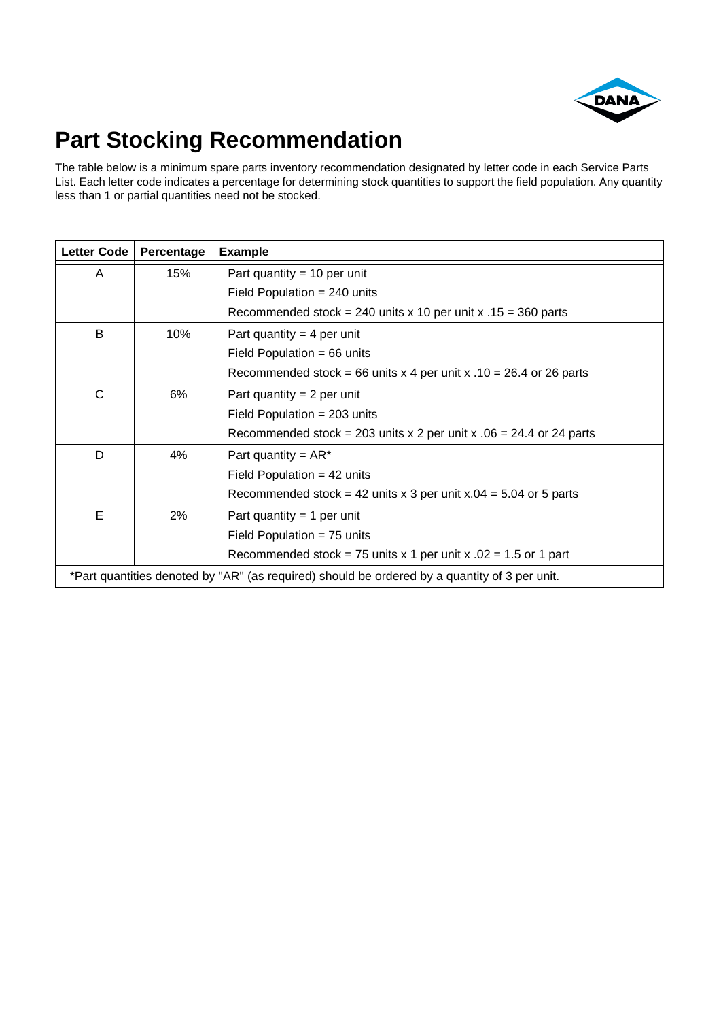

# **Part Stocking Recommendation**

The table below is a minimum spare parts inventory recommendation designated by letter code in each Service Parts List. Each letter code indicates a percentage for determining stock quantities to support the field population. Any quantity less than 1 or partial quantities need not be stocked.

| Letter Code                                                                                   | Percentage | <b>Example</b>                                                        |
|-----------------------------------------------------------------------------------------------|------------|-----------------------------------------------------------------------|
| A                                                                                             | 15%        | Part quantity = 10 per unit                                           |
|                                                                                               |            | Field Population = $240$ units                                        |
|                                                                                               |            | Recommended stock = 240 units x 10 per unit x $.15 = 360$ parts       |
| B                                                                                             | 10%        | Part quantity = 4 per unit                                            |
|                                                                                               |            | Field Population = $66$ units                                         |
|                                                                                               |            | Recommended stock = 66 units x 4 per unit x $.10 = 26.4$ or 26 parts  |
| C                                                                                             | 6%         | Part quantity = $2$ per unit                                          |
|                                                                                               |            | Field Population = $203$ units                                        |
|                                                                                               |            | Recommended stock = 203 units x 2 per unit x $.06 = 24.4$ or 24 parts |
| D                                                                                             | 4%         | Part quantity = $AR^*$                                                |
|                                                                                               |            | Field Population = $42$ units                                         |
|                                                                                               |            | Recommended stock = 42 units x 3 per unit x.04 = 5.04 or 5 parts      |
| Е                                                                                             | 2%         | Part quantity = 1 per unit                                            |
|                                                                                               |            | Field Population = $75$ units                                         |
|                                                                                               |            | Recommended stock = 75 units x 1 per unit x $.02 = 1.5$ or 1 part     |
| *Part quantities denoted by "AR" (as required) should be ordered by a quantity of 3 per unit. |            |                                                                       |